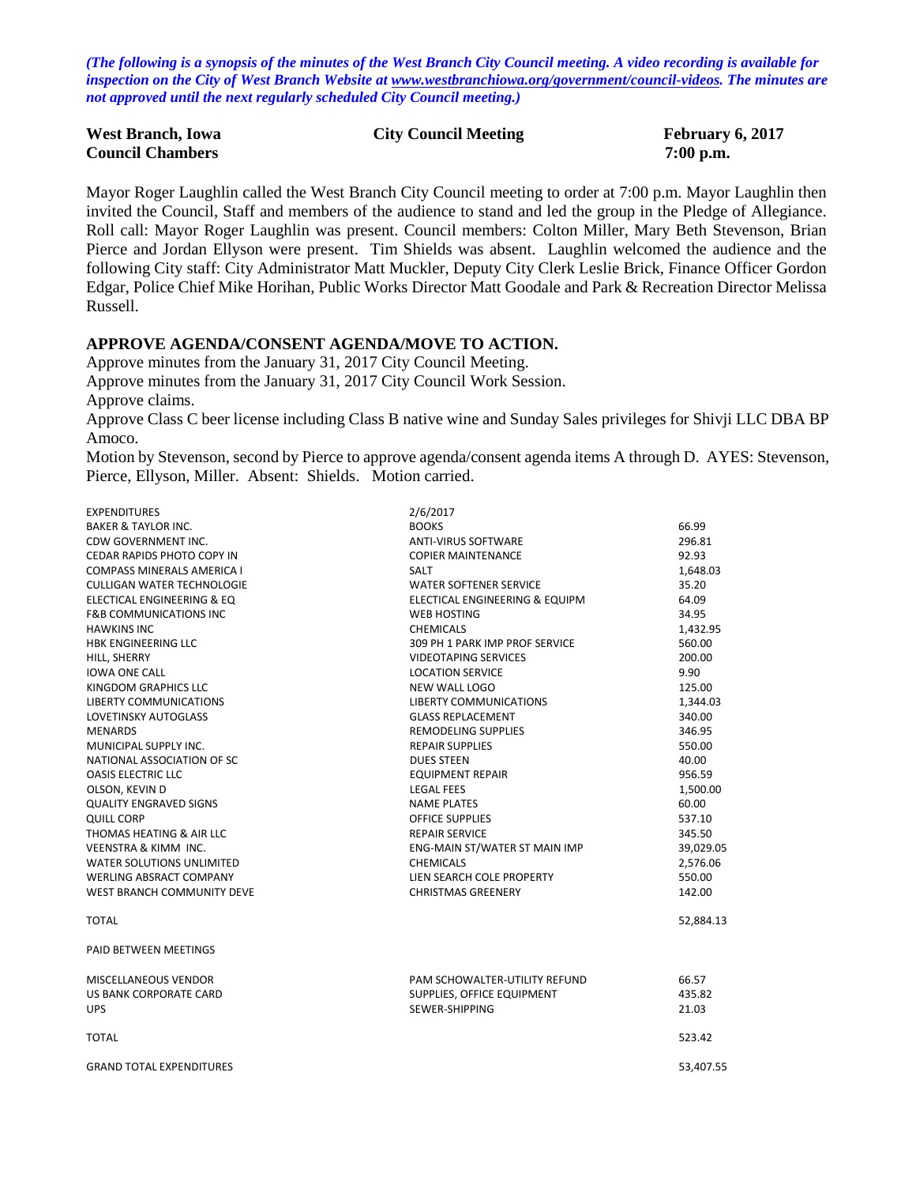*(The following is a synopsis of the minutes of the West Branch City Council meeting. A video recording is available for inspection on the City of West Branch Website at [www.westbranchiowa.org/government/council-videos.](http://www.westbranchiowa.org/government/council-videos) The minutes are not approved until the next regularly scheduled City Council meeting.)*

| <b>West Branch, Iowa</b> | <b>City Council Meeting</b> | February 6, 2017 |
|--------------------------|-----------------------------|------------------|
| <b>Council Chambers</b>  |                             | $7:00$ p.m.      |

Mayor Roger Laughlin called the West Branch City Council meeting to order at 7:00 p.m. Mayor Laughlin then invited the Council, Staff and members of the audience to stand and led the group in the Pledge of Allegiance. Roll call: Mayor Roger Laughlin was present. Council members: Colton Miller, Mary Beth Stevenson, Brian Pierce and Jordan Ellyson were present. Tim Shields was absent. Laughlin welcomed the audience and the following City staff: City Administrator Matt Muckler, Deputy City Clerk Leslie Brick, Finance Officer Gordon Edgar, Police Chief Mike Horihan, Public Works Director Matt Goodale and Park & Recreation Director Melissa Russell.

#### **APPROVE AGENDA/CONSENT AGENDA/MOVE TO ACTION.**

Approve minutes from the January 31, 2017 City Council Meeting. Approve minutes from the January 31, 2017 City Council Work Session. Approve claims. Approve Class C beer license including Class B native wine and Sunday Sales privileges for Shivji LLC DBA BP Amoco.

Motion by Stevenson, second by Pierce to approve agenda/consent agenda items A through D. AYES: Stevenson, Pierce, Ellyson, Miller. Absent: Shields. Motion carried.

| <b>EXPENDITURES</b>               | 2/6/2017                             |           |
|-----------------------------------|--------------------------------------|-----------|
| <b>BAKER &amp; TAYLOR INC.</b>    | <b>BOOKS</b>                         | 66.99     |
| CDW GOVERNMENT INC.               | <b>ANTI-VIRUS SOFTWARE</b>           | 296.81    |
| CEDAR RAPIDS PHOTO COPY IN        | <b>COPIER MAINTENANCE</b>            | 92.93     |
| <b>COMPASS MINERALS AMERICA I</b> | <b>SALT</b>                          | 1,648.03  |
| <b>CULLIGAN WATER TECHNOLOGIE</b> | <b>WATER SOFTENER SERVICE</b>        | 35.20     |
| ELECTICAL ENGINEERING & EQ        | ELECTICAL ENGINEERING & EQUIPM       | 64.09     |
| <b>F&amp;B COMMUNICATIONS INC</b> | <b>WEB HOSTING</b>                   | 34.95     |
| <b>HAWKINS INC</b>                | <b>CHEMICALS</b>                     | 1,432.95  |
| <b>HBK ENGINEERING LLC</b>        | 309 PH 1 PARK IMP PROF SERVICE       | 560.00    |
| HILL, SHERRY                      | <b>VIDEOTAPING SERVICES</b>          | 200.00    |
| <b>IOWA ONE CALL</b>              | <b>LOCATION SERVICE</b>              | 9.90      |
| <b>KINGDOM GRAPHICS LLC</b>       | NEW WALL LOGO                        | 125.00    |
| <b>LIBERTY COMMUNICATIONS</b>     | <b>LIBERTY COMMUNICATIONS</b>        | 1,344.03  |
| <b>LOVETINSKY AUTOGLASS</b>       | <b>GLASS REPLACEMENT</b>             | 340.00    |
| <b>MENARDS</b>                    | <b>REMODELING SUPPLIES</b>           | 346.95    |
| MUNICIPAL SUPPLY INC.             | <b>REPAIR SUPPLIES</b>               | 550.00    |
| NATIONAL ASSOCIATION OF SC        | <b>DUES STEEN</b>                    | 40.00     |
| <b>OASIS ELECTRIC LLC</b>         | <b>EQUIPMENT REPAIR</b>              | 956.59    |
| OLSON, KEVIN D                    | <b>LEGAL FEES</b>                    | 1,500.00  |
| <b>QUALITY ENGRAVED SIGNS</b>     | <b>NAME PLATES</b>                   | 60.00     |
| <b>QUILL CORP</b>                 | <b>OFFICE SUPPLIES</b>               | 537.10    |
| THOMAS HEATING & AIR LLC          | <b>REPAIR SERVICE</b>                | 345.50    |
| <b>VEENSTRA &amp; KIMM INC.</b>   | ENG-MAIN ST/WATER ST MAIN IMP        | 39,029.05 |
| <b>WATER SOLUTIONS UNLIMITED</b>  | <b>CHEMICALS</b>                     | 2,576.06  |
| <b>WERLING ABSRACT COMPANY</b>    | LIEN SEARCH COLE PROPERTY            | 550.00    |
| WEST BRANCH COMMUNITY DEVE        | <b>CHRISTMAS GREENERY</b>            | 142.00    |
| <b>TOTAL</b>                      |                                      | 52,884.13 |
| PAID BETWEEN MEETINGS             |                                      |           |
| <b>MISCELLANEOUS VENDOR</b>       | <b>PAM SCHOWALTER-UTILITY REFUND</b> | 66.57     |
| US BANK CORPORATE CARD            | SUPPLIES, OFFICE EQUIPMENT           | 435.82    |
| <b>UPS</b>                        | SEWER-SHIPPING                       | 21.03     |
| <b>TOTAL</b>                      |                                      | 523.42    |
| <b>GRAND TOTAL EXPENDITURES</b>   |                                      | 53.407.55 |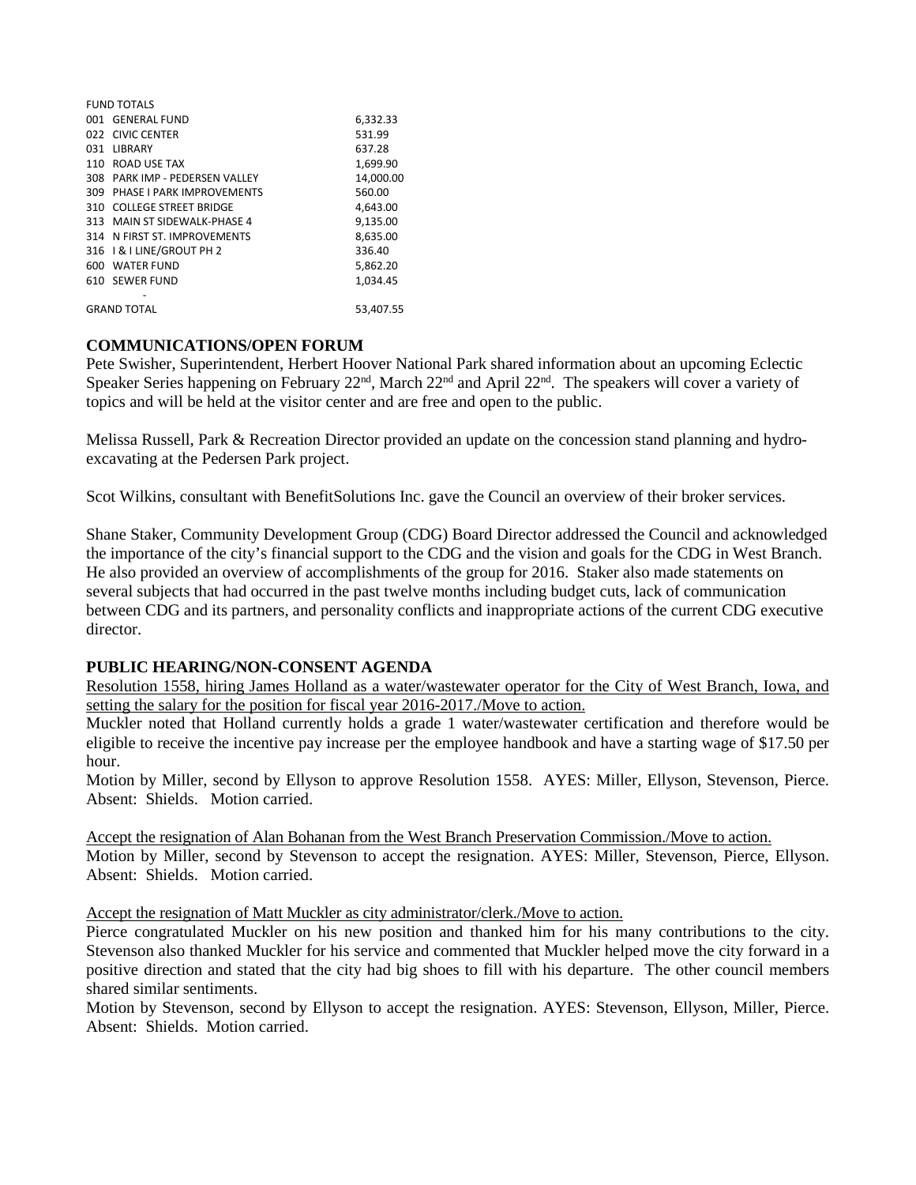|     | <b>FUND TOTALS</b>             |           |
|-----|--------------------------------|-----------|
|     | 001 GENERAL FUND               | 6,332.33  |
|     | 022 CIVIC CENTER               | 531.99    |
|     | 031 LIBRARY                    | 637.28    |
|     | 110 ROAD USE TAX               | 1,699.90  |
|     | 308 PARK IMP - PEDERSEN VALLEY | 14,000.00 |
| 309 | PHASE I PARK IMPROVEMENTS      | 560.00    |
|     | 310 COLLEGE STREET BRIDGE      | 4,643.00  |
|     | 313 MAIN ST SIDEWALK-PHASE 4   | 9,135.00  |
|     | 314 N FIRST ST. IMPROVEMENTS   | 8,635.00  |
|     | 316   & I LINE/GROUT PH 2      | 336.40    |
|     | 600 WATER FUND                 | 5,862.20  |
|     | 610 SEWER FUND                 | 1.034.45  |
|     |                                |           |
|     | <b>GRAND TOTAL</b>             | 53.407.55 |

### **COMMUNICATIONS/OPEN FORUM**

Pete Swisher, Superintendent, Herbert Hoover National Park shared information about an upcoming Eclectic Speaker Series happening on February 22<sup>nd</sup>, March 22<sup>nd</sup> and April 22<sup>nd</sup>. The speakers will cover a variety of topics and will be held at the visitor center and are free and open to the public.

Melissa Russell, Park & Recreation Director provided an update on the concession stand planning and hydroexcavating at the Pedersen Park project.

Scot Wilkins, consultant with BenefitSolutions Inc. gave the Council an overview of their broker services.

Shane Staker, Community Development Group (CDG) Board Director addressed the Council and acknowledged the importance of the city's financial support to the CDG and the vision and goals for the CDG in West Branch. He also provided an overview of accomplishments of the group for 2016. Staker also made statements on several subjects that had occurred in the past twelve months including budget cuts, lack of communication between CDG and its partners, and personality conflicts and inappropriate actions of the current CDG executive director.

### **PUBLIC HEARING/NON-CONSENT AGENDA**

Resolution 1558, hiring James Holland as a water/wastewater operator for the City of West Branch, Iowa, and setting the salary for the position for fiscal year 2016-2017./Move to action.

Muckler noted that Holland currently holds a grade 1 water/wastewater certification and therefore would be eligible to receive the incentive pay increase per the employee handbook and have a starting wage of \$17.50 per hour.

Motion by Miller, second by Ellyson to approve Resolution 1558. AYES: Miller, Ellyson, Stevenson, Pierce. Absent: Shields. Motion carried.

Accept the resignation of Alan Bohanan from the West Branch Preservation Commission./Move to action. Motion by Miller, second by Stevenson to accept the resignation. AYES: Miller, Stevenson, Pierce, Ellyson. Absent: Shields. Motion carried.

Accept the resignation of Matt Muckler as city administrator/clerk./Move to action.

Pierce congratulated Muckler on his new position and thanked him for his many contributions to the city. Stevenson also thanked Muckler for his service and commented that Muckler helped move the city forward in a positive direction and stated that the city had big shoes to fill with his departure. The other council members shared similar sentiments.

Motion by Stevenson, second by Ellyson to accept the resignation. AYES: Stevenson, Ellyson, Miller, Pierce. Absent: Shields. Motion carried.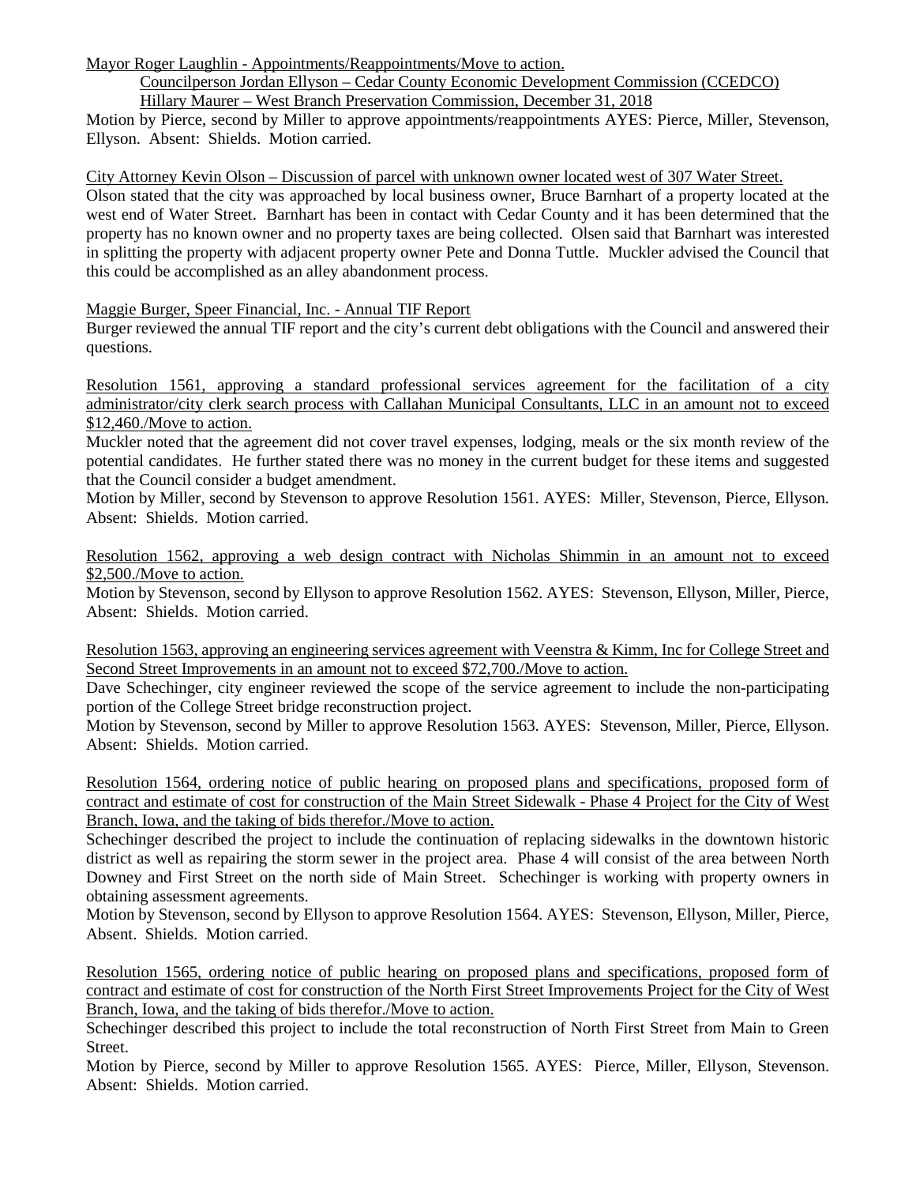Mayor Roger Laughlin - Appointments/Reappointments/Move to action.

### Councilperson Jordan Ellyson – Cedar County Economic Development Commission (CCEDCO) Hillary Maurer – West Branch Preservation Commission, December 31, 2018

Motion by Pierce, second by Miller to approve appointments/reappointments AYES: Pierce, Miller, Stevenson, Ellyson. Absent: Shields. Motion carried.

City Attorney Kevin Olson – Discussion of parcel with unknown owner located west of 307 Water Street.

Olson stated that the city was approached by local business owner, Bruce Barnhart of a property located at the west end of Water Street. Barnhart has been in contact with Cedar County and it has been determined that the property has no known owner and no property taxes are being collected. Olsen said that Barnhart was interested in splitting the property with adjacent property owner Pete and Donna Tuttle. Muckler advised the Council that this could be accomplished as an alley abandonment process.

Maggie Burger, Speer Financial, Inc. - Annual TIF Report

Burger reviewed the annual TIF report and the city's current debt obligations with the Council and answered their questions.

Resolution 1561, approving a standard professional services agreement for the facilitation of a city administrator/city clerk search process with Callahan Municipal Consultants, LLC in an amount not to exceed \$12,460./Move to action.

Muckler noted that the agreement did not cover travel expenses, lodging, meals or the six month review of the potential candidates. He further stated there was no money in the current budget for these items and suggested that the Council consider a budget amendment.

Motion by Miller, second by Stevenson to approve Resolution 1561. AYES: Miller, Stevenson, Pierce, Ellyson. Absent: Shields. Motion carried.

Resolution 1562, approving a web design contract with Nicholas Shimmin in an amount not to exceed \$2,500./Move to action.

Motion by Stevenson, second by Ellyson to approve Resolution 1562. AYES: Stevenson, Ellyson, Miller, Pierce, Absent: Shields. Motion carried.

Resolution 1563, approving an engineering services agreement with Veenstra & Kimm, Inc for College Street and Second Street Improvements in an amount not to exceed \$72,700./Move to action.

Dave Schechinger, city engineer reviewed the scope of the service agreement to include the non-participating portion of the College Street bridge reconstruction project.

Motion by Stevenson, second by Miller to approve Resolution 1563. AYES: Stevenson, Miller, Pierce, Ellyson. Absent: Shields. Motion carried.

Resolution 1564, ordering notice of public hearing on proposed plans and specifications, proposed form of contract and estimate of cost for construction of the Main Street Sidewalk - Phase 4 Project for the City of West Branch, Iowa, and the taking of bids therefor./Move to action.

Schechinger described the project to include the continuation of replacing sidewalks in the downtown historic district as well as repairing the storm sewer in the project area. Phase 4 will consist of the area between North Downey and First Street on the north side of Main Street. Schechinger is working with property owners in obtaining assessment agreements.

Motion by Stevenson, second by Ellyson to approve Resolution 1564. AYES: Stevenson, Ellyson, Miller, Pierce, Absent. Shields. Motion carried.

Resolution 1565, ordering notice of public hearing on proposed plans and specifications, proposed form of contract and estimate of cost for construction of the North First Street Improvements Project for the City of West Branch, Iowa, and the taking of bids therefor./Move to action.

Schechinger described this project to include the total reconstruction of North First Street from Main to Green Street.

Motion by Pierce, second by Miller to approve Resolution 1565. AYES: Pierce, Miller, Ellyson, Stevenson. Absent: Shields. Motion carried.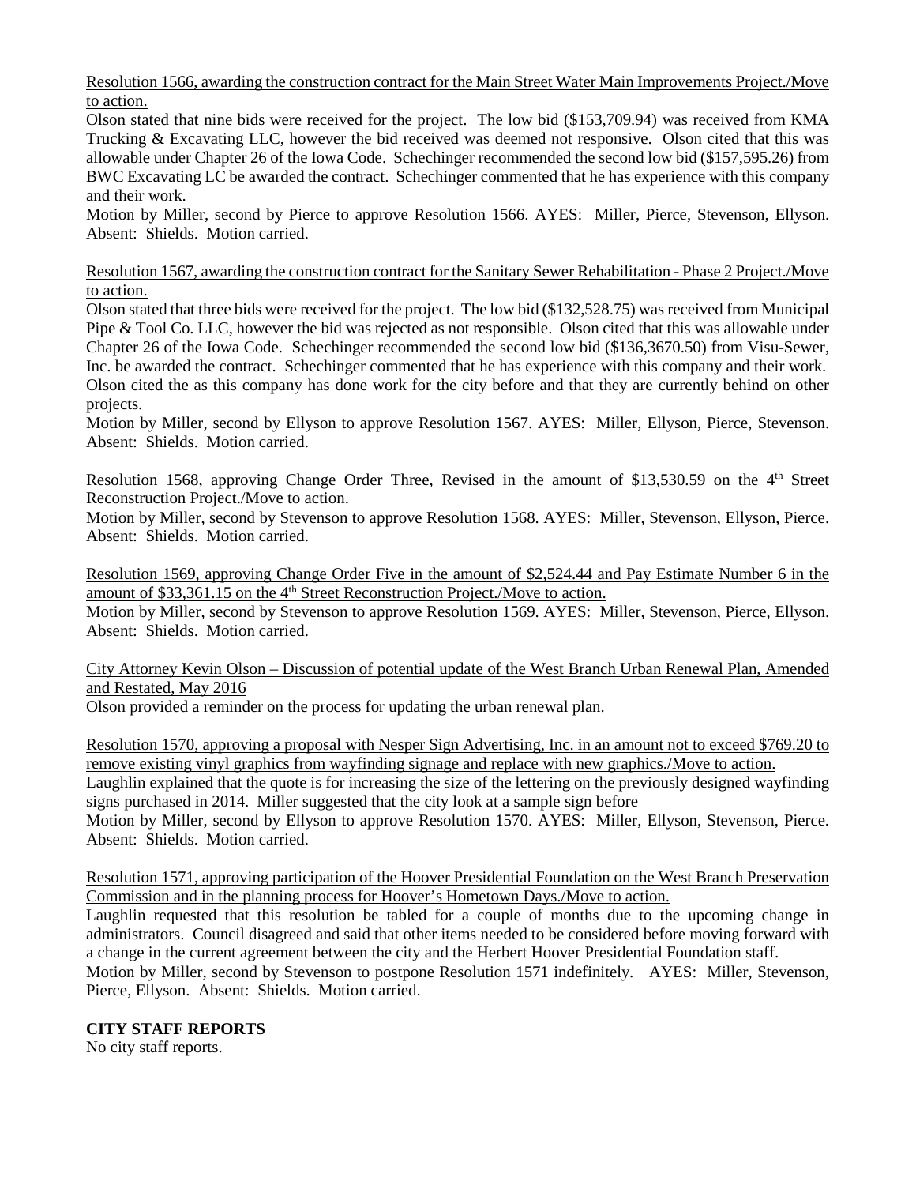Resolution 1566, awarding the construction contract for the Main Street Water Main Improvements Project./Move to action.

Olson stated that nine bids were received for the project. The low bid (\$153,709.94) was received from KMA Trucking & Excavating LLC, however the bid received was deemed not responsive. Olson cited that this was allowable under Chapter 26 of the Iowa Code. Schechinger recommended the second low bid (\$157,595.26) from BWC Excavating LC be awarded the contract. Schechinger commented that he has experience with this company and their work.

Motion by Miller, second by Pierce to approve Resolution 1566. AYES: Miller, Pierce, Stevenson, Ellyson. Absent: Shields. Motion carried.

Resolution 1567, awarding the construction contract for the Sanitary Sewer Rehabilitation - Phase 2 Project./Move to action.

Olson stated that three bids were received for the project. The low bid (\$132,528.75) was received from Municipal Pipe & Tool Co. LLC, however the bid was rejected as not responsible. Olson cited that this was allowable under Chapter 26 of the Iowa Code. Schechinger recommended the second low bid (\$136,3670.50) from Visu-Sewer, Inc. be awarded the contract. Schechinger commented that he has experience with this company and their work. Olson cited the as this company has done work for the city before and that they are currently behind on other projects.

Motion by Miller, second by Ellyson to approve Resolution 1567. AYES: Miller, Ellyson, Pierce, Stevenson. Absent: Shields. Motion carried.

Resolution 1568, approving Change Order Three, Revised in the amount of \$13,530.59 on the 4<sup>th</sup> Street Reconstruction Project./Move to action.

Motion by Miller, second by Stevenson to approve Resolution 1568. AYES: Miller, Stevenson, Ellyson, Pierce. Absent: Shields. Motion carried.

Resolution 1569, approving Change Order Five in the amount of \$2,524.44 and Pay Estimate Number 6 in the amount of \$33,361.15 on the  $4<sup>th</sup>$  Street Reconstruction Project./Move to action.

Motion by Miller, second by Stevenson to approve Resolution 1569. AYES: Miller, Stevenson, Pierce, Ellyson. Absent: Shields. Motion carried.

City Attorney Kevin Olson – Discussion of potential update of the West Branch Urban Renewal Plan, Amended and Restated, May 2016

Olson provided a reminder on the process for updating the urban renewal plan.

Resolution 1570, approving a proposal with Nesper Sign Advertising, Inc. in an amount not to exceed \$769.20 to remove existing vinyl graphics from wayfinding signage and replace with new graphics./Move to action. Laughlin explained that the quote is for increasing the size of the lettering on the previously designed wayfinding signs purchased in 2014. Miller suggested that the city look at a sample sign before

Motion by Miller, second by Ellyson to approve Resolution 1570. AYES: Miller, Ellyson, Stevenson, Pierce. Absent: Shields. Motion carried.

Resolution 1571, approving participation of the Hoover Presidential Foundation on the West Branch Preservation Commission and in the planning process for Hoover's Hometown Days./Move to action.

Laughlin requested that this resolution be tabled for a couple of months due to the upcoming change in administrators. Council disagreed and said that other items needed to be considered before moving forward with a change in the current agreement between the city and the Herbert Hoover Presidential Foundation staff.

Motion by Miller, second by Stevenson to postpone Resolution 1571 indefinitely. AYES: Miller, Stevenson, Pierce, Ellyson. Absent: Shields. Motion carried.

### **CITY STAFF REPORTS**

No city staff reports.